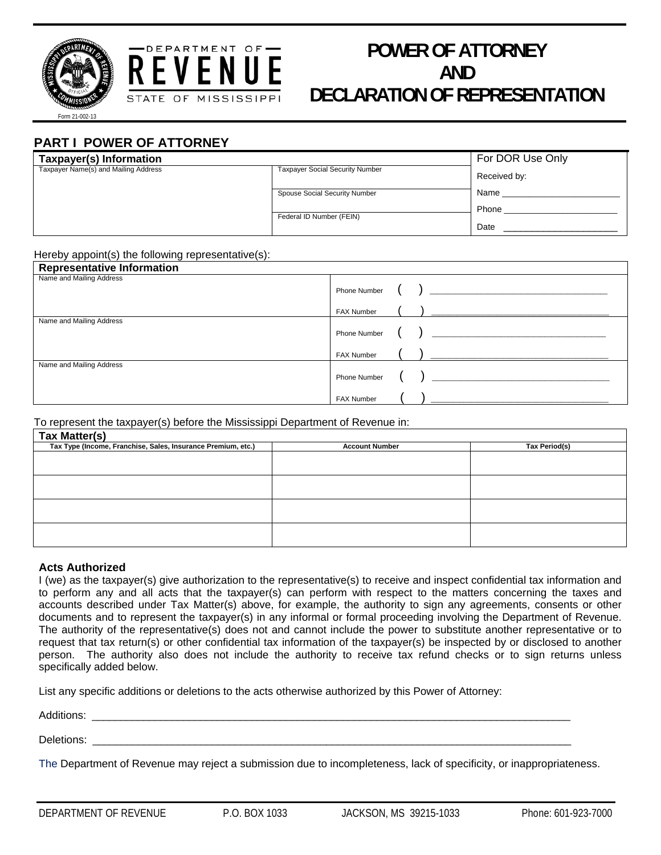



# **POWER OF ATTORNEY AND DECLARATION OF REPRESENTATION**

m 21-002-13

## **PART I POWER OF ATTORNEY**

| Taxpayer(s) Information              |                                        | For DOR Use Only |
|--------------------------------------|----------------------------------------|------------------|
| Taxpayer Name(s) and Mailing Address | <b>Taxpayer Social Security Number</b> | Received by:     |
|                                      | Spouse Social Security Number          | Name             |
|                                      | Federal ID Number (FEIN)               | Phone            |
|                                      |                                        | Date             |

#### Hereby appoint(s) the following representative(s):

| <b>Representative Information</b> |                                                                                            |
|-----------------------------------|--------------------------------------------------------------------------------------------|
| Name and Mailing Address          |                                                                                            |
|                                   |                                                                                            |
|                                   | $\left(\begin{array}{c} \begin{array}{c} \end{array}\\ \end{array}\right)$<br>FAX Number   |
| Name and Mailing Address          |                                                                                            |
|                                   |                                                                                            |
|                                   | $\left(\begin{array}{c} \end{array}\right)$<br>FAX Number                                  |
| Name and Mailing Address          |                                                                                            |
|                                   | $\left(\begin{array}{c} \begin{array}{c} \end{array}\\ \end{array}\right)$<br>Phone Number |
|                                   | ( ) <u>_________________________</u><br><b>FAX Number</b>                                  |

To represent the taxpayer(s) before the Mississippi Department of Revenue in:

| Tax Matter(s)                                                |                       |                      |  |  |  |
|--------------------------------------------------------------|-----------------------|----------------------|--|--|--|
| Tax Type (Income, Franchise, Sales, Insurance Premium, etc.) | <b>Account Number</b> | <b>Tax Period(s)</b> |  |  |  |
|                                                              |                       |                      |  |  |  |
|                                                              |                       |                      |  |  |  |
|                                                              |                       |                      |  |  |  |
|                                                              |                       |                      |  |  |  |
|                                                              |                       |                      |  |  |  |
|                                                              |                       |                      |  |  |  |
|                                                              |                       |                      |  |  |  |
|                                                              |                       |                      |  |  |  |

#### **Acts Authorized**

I (we) as the taxpayer(s) give authorization to the representative(s) to receive and inspect confidential tax information and to perform any and all acts that the taxpayer(s) can perform with respect to the matters concerning the taxes and accounts described under Tax Matter(s) above, for example, the authority to sign any agreements, consents or other documents and to represent the taxpayer(s) in any informal or formal proceeding involving the Department of Revenue. The authority of the representative(s) does not and cannot include the power to substitute another representative or to request that tax return(s) or other confidential tax information of the taxpayer(s) be inspected by or disclosed to another person. The authority also does not include the authority to receive tax refund checks or to sign returns unless specifically added below.

List any specific additions or deletions to the acts otherwise authorized by this Power of Attorney:

Additions: \_\_\_\_\_\_\_\_\_\_\_\_\_\_\_\_\_\_\_\_\_\_\_\_\_\_\_\_\_\_\_\_\_\_\_\_\_\_\_\_\_\_\_\_\_\_\_\_\_\_\_\_\_\_\_\_\_\_\_\_\_\_\_\_\_\_\_\_\_\_\_\_\_\_\_\_\_\_\_\_\_\_\_\_

Deletions: \_\_\_\_\_\_\_\_\_\_\_\_\_\_\_\_\_\_\_\_\_\_\_\_\_\_\_\_\_\_\_\_\_\_\_\_\_\_\_\_\_\_\_\_\_\_\_\_\_\_\_\_\_\_\_\_\_\_\_\_\_\_\_\_\_\_\_\_\_\_\_\_\_\_\_\_\_\_\_\_\_\_\_\_

The Department of Revenue may reject a submission due to incompleteness, lack of specificity, or inappropriateness.